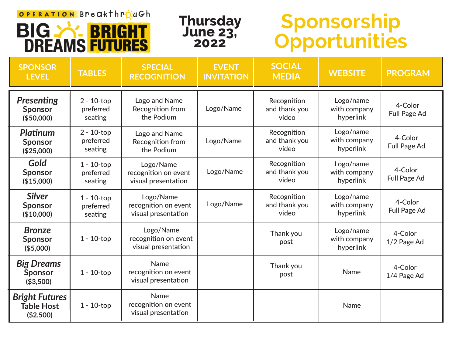## OPERATION Breakthrpack





## **Sponsorship Opportunities**

| <b>SPONSOR</b><br><b>LEVEL</b>                          | <b>TABLES</b>                         | <b>SPECIAL</b><br><b>RECOGNITION</b>                     | <b>EVENT</b><br><b>INVITATION</b> | <b>SOCIAL</b><br><b>MEDIA</b>         | <b>WEBSITE</b>                         | <b>PROGRAM</b>                 |
|---------------------------------------------------------|---------------------------------------|----------------------------------------------------------|-----------------------------------|---------------------------------------|----------------------------------------|--------------------------------|
| <b>Presenting</b><br><b>Sponsor</b><br>(\$50,000)       | $2 - 10$ -top<br>preferred<br>seating | Logo and Name<br>Recognition from<br>the Podium          | Logo/Name                         | Recognition<br>and thank you<br>video | Logo/name<br>with company<br>hyperlink | 4-Color<br>Full Page Ad        |
| <b>Platinum</b><br><b>Sponsor</b><br>(\$25,000)         | $2 - 10$ -top<br>preferred<br>seating | Logo and Name<br>Recognition from<br>the Podium          | Logo/Name                         | Recognition<br>and thank you<br>video | Logo/name<br>with company<br>hyperlink | 4-Color<br><b>Full Page Ad</b> |
| Gold<br><b>Sponsor</b><br>(\$15,000)                    | $1 - 10$ -top<br>preferred<br>seating | Logo/Name<br>recognition on event<br>visual presentation | Logo/Name                         | Recognition<br>and thank you<br>video | Logo/name<br>with company<br>hyperlink | 4-Color<br><b>Full Page Ad</b> |
| <b>Silver</b><br><b>Sponsor</b><br>(\$10,000)           | $1 - 10$ -top<br>preferred<br>seating | Logo/Name<br>recognition on event<br>visual presentation | Logo/Name                         | Recognition<br>and thank you<br>video | Logo/name<br>with company<br>hyperlink | 4-Color<br><b>Full Page Ad</b> |
| <b>Bronze</b><br><b>Sponsor</b><br>(\$5,000)            | $1 - 10$ -top                         | Logo/Name<br>recognition on event<br>visual presentation |                                   | Thank you<br>post                     | Logo/name<br>with company<br>hyperlink | 4-Color<br>1/2 Page Ad         |
| <b>Big Dreams</b><br><b>Sponsor</b><br>(\$3,500)        | $1 - 10$ -top                         | Name<br>recognition on event<br>visual presentation      |                                   | Thank you<br>post                     | <b>Name</b>                            | 4-Color<br>1/4 Page Ad         |
| <b>Bright Futures</b><br><b>Table Host</b><br>(\$2,500) | $1 - 10$ -top                         | Name<br>recognition on event<br>visual presentation      |                                   |                                       | Name                                   |                                |